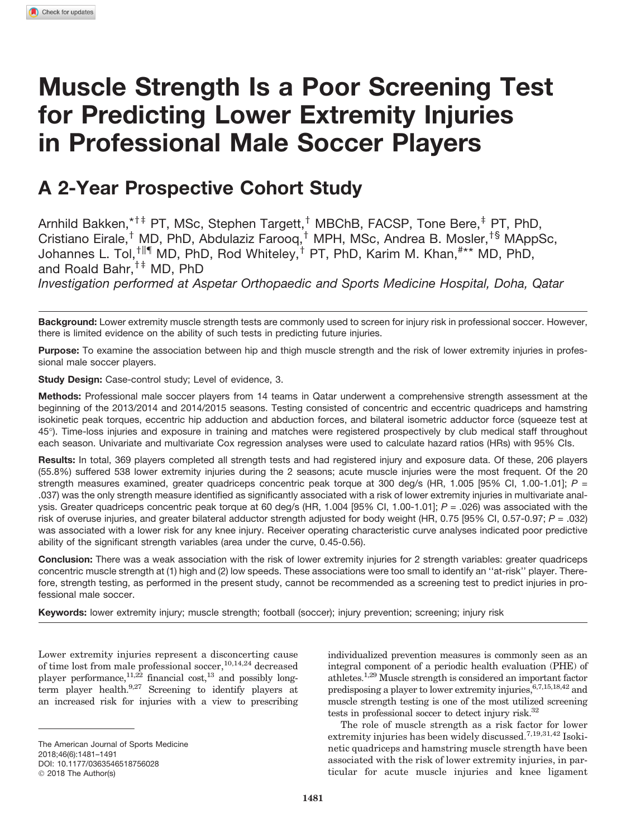# Muscle Strength Is a Poor Screening Test for Predicting Lower Extremity Injuries in Professional Male Soccer Players

# A 2-Year Prospective Cohort Study

Arnhild Bakken,\*<sup>†‡</sup> PT, MSc, Stephen Targett,<sup>†</sup> MBChB, FACSP, Tone Bere,<sup>‡</sup> PT, PhD, Cristiano Eirale,<sup>†</sup> MD, PhD, Abdulaziz Farooq,<sup>†</sup> MPH, MSc, Andrea B. Mosler,<sup>†§</sup> MAppSc, Johannes L. Tol,<sup>†||¶</sup> MD, PhD, Rod Whiteley,<sup>†</sup> PT, PhD, Karim M. Khan,<sup>#\*\*</sup> MD, PhD, and Roald Bahr,  $^{\dagger\ddagger}$  MD, PhD

*Investigation performed at Aspetar Orthopaedic and Sports Medicine Hospital, Doha, Qatar*

Background: Lower extremity muscle strength tests are commonly used to screen for injury risk in professional soccer. However, there is limited evidence on the ability of such tests in predicting future injuries.

Purpose: To examine the association between hip and thigh muscle strength and the risk of lower extremity injuries in professional male soccer players.

Study Design: Case-control study; Level of evidence, 3.

Methods: Professional male soccer players from 14 teams in Qatar underwent a comprehensive strength assessment at the beginning of the 2013/2014 and 2014/2015 seasons. Testing consisted of concentric and eccentric quadriceps and hamstring isokinetic peak torques, eccentric hip adduction and abduction forces, and bilateral isometric adductor force (squeeze test at 45-). Time-loss injuries and exposure in training and matches were registered prospectively by club medical staff throughout each season. Univariate and multivariate Cox regression analyses were used to calculate hazard ratios (HRs) with 95% CIs.

Results: In total, 369 players completed all strength tests and had registered injury and exposure data. Of these, 206 players (55.8%) suffered 538 lower extremity injuries during the 2 seasons; acute muscle injuries were the most frequent. Of the 20 strength measures examined, greater quadriceps concentric peak torque at 300 deg/s (HR, 1.005 [95% CI, 1.00-1.01]; *P* = .037) was the only strength measure identified as significantly associated with a risk of lower extremity injuries in multivariate analysis. Greater quadriceps concentric peak torque at 60 deg/s (HR, 1.004 [95% CI, 1.00-1.01]; *P* = .026) was associated with the risk of overuse injuries, and greater bilateral adductor strength adjusted for body weight (HR, 0.75 [95% CI, 0.57-0.97; *P* = .032) was associated with a lower risk for any knee injury. Receiver operating characteristic curve analyses indicated poor predictive ability of the significant strength variables (area under the curve, 0.45-0.56).

Conclusion: There was a weak association with the risk of lower extremity injuries for 2 strength variables: greater quadriceps concentric muscle strength at (1) high and (2) low speeds. These associations were too small to identify an ''at-risk'' player. Therefore, strength testing, as performed in the present study, cannot be recommended as a screening test to predict injuries in professional male soccer.

Keywords: lower extremity injury; muscle strength; football (soccer); injury prevention; screening; injury risk

Lower extremity injuries represent a disconcerting cause of time lost from male professional soccer,  $^{10,14,24}$  decreased player performance,  $11,22$  financial cost,  $13$  and possibly longterm player health.<sup>9,27</sup> Screening to identify players at an increased risk for injuries with a view to prescribing individualized prevention measures is commonly seen as an integral component of a periodic health evaluation (PHE) of athletes.1,29 Muscle strength is considered an important factor predisposing a player to lower extremity injuries,  $\stackrel{6,7,15,18,42}{\ldots}$  and muscle strength testing is one of the most utilized screening tests in professional soccer to detect injury risk.<sup>32</sup>

The role of muscle strength as a risk factor for lower extremity injuries has been widely discussed.<sup>7,19,31,42</sup> Isokinetic quadriceps and hamstring muscle strength have been associated with the risk of lower extremity injuries, in particular for acute muscle injuries and knee ligament

The American Journal of Sports Medicine 2018;46(6):1481–1491 DOI: [10.1177/0363546518756028](https://doi.org/10.1177/0363546518756028) 2018 The Author(s)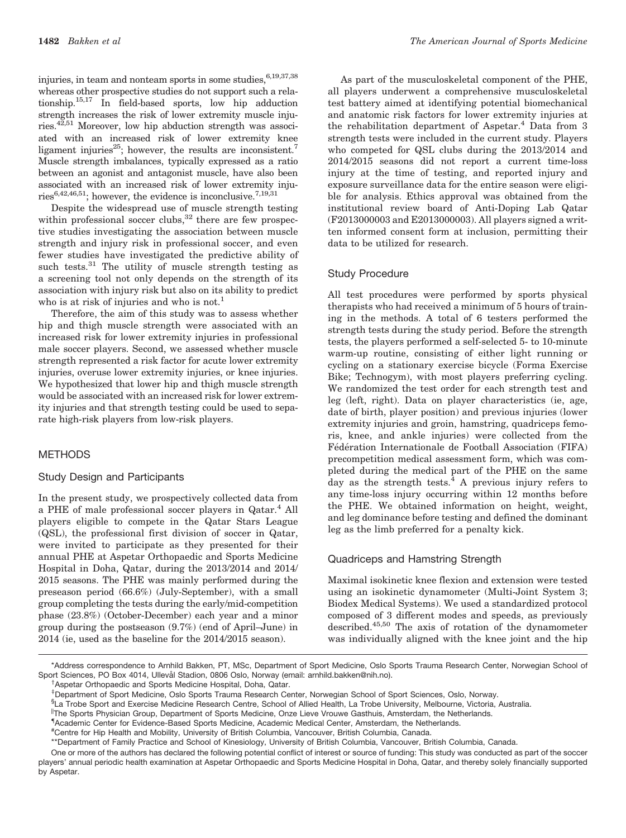injuries, in team and nonteam sports in some studies, 6,19,37,38 whereas other prospective studies do not support such a relationship.15,17 In field-based sports, low hip adduction strength increases the risk of lower extremity muscle injuries.42,51 Moreover, low hip abduction strength was associated with an increased risk of lower extremity knee ligament injuries<sup>25</sup>; however, the results are inconsistent.<sup>7</sup> Muscle strength imbalances, typically expressed as a ratio between an agonist and antagonist muscle, have also been associated with an increased risk of lower extremity injuries<sup>6,42,46,51</sup>; however, the evidence is inconclusive.<sup>7,19,31</sup>

Despite the widespread use of muscle strength testing within professional soccer clubs, $32$  there are few prospective studies investigating the association between muscle strength and injury risk in professional soccer, and even fewer studies have investigated the predictive ability of such tests.<sup>31</sup> The utility of muscle strength testing as a screening tool not only depends on the strength of its association with injury risk but also on its ability to predict who is at risk of injuries and who is not.<sup>1</sup>

Therefore, the aim of this study was to assess whether hip and thigh muscle strength were associated with an increased risk for lower extremity injuries in professional male soccer players. Second, we assessed whether muscle strength represented a risk factor for acute lower extremity injuries, overuse lower extremity injuries, or knee injuries. We hypothesized that lower hip and thigh muscle strength would be associated with an increased risk for lower extremity injuries and that strength testing could be used to separate high-risk players from low-risk players.

#### METHODS

#### Study Design and Participants

In the present study, we prospectively collected data from a PHE of male professional soccer players in Qatar.<sup>4</sup> All players eligible to compete in the Qatar Stars League (QSL), the professional first division of soccer in Qatar, were invited to participate as they presented for their annual PHE at Aspetar Orthopaedic and Sports Medicine Hospital in Doha, Qatar, during the 2013/2014 and 2014/ 2015 seasons. The PHE was mainly performed during the preseason period (66.6%) (July-September), with a small group completing the tests during the early/mid-competition phase (23.8%) (October-December) each year and a minor group during the postseason (9.7%) (end of April–June) in 2014 (ie, used as the baseline for the 2014/2015 season).

As part of the musculoskeletal component of the PHE, all players underwent a comprehensive musculoskeletal test battery aimed at identifying potential biomechanical and anatomic risk factors for lower extremity injuries at the rehabilitation department of Aspetar.<sup>4</sup> Data from 3 strength tests were included in the current study. Players who competed for QSL clubs during the 2013/2014 and 2014/2015 seasons did not report a current time-loss injury at the time of testing, and reported injury and exposure surveillance data for the entire season were eligible for analysis. Ethics approval was obtained from the institutional review board of Anti-Doping Lab Qatar (F2013000003 and E2013000003). All players signed a written informed consent form at inclusion, permitting their data to be utilized for research.

#### Study Procedure

All test procedures were performed by sports physical therapists who had received a minimum of 5 hours of training in the methods. A total of 6 testers performed the strength tests during the study period. Before the strength tests, the players performed a self-selected 5- to 10-minute warm-up routine, consisting of either light running or cycling on a stationary exercise bicycle (Forma Exercise Bike; Technogym), with most players preferring cycling. We randomized the test order for each strength test and leg (left, right). Data on player characteristics (ie, age, date of birth, player position) and previous injuries (lower extremity injuries and groin, hamstring, quadriceps femoris, knee, and ankle injuries) were collected from the Fédération Internationale de Football Association (FIFA) precompetition medical assessment form, which was completed during the medical part of the PHE on the same day as the strength tests.<sup>4</sup> A previous injury refers to any time-loss injury occurring within 12 months before the PHE. We obtained information on height, weight, and leg dominance before testing and defined the dominant leg as the limb preferred for a penalty kick.

#### Quadriceps and Hamstring Strength

Maximal isokinetic knee flexion and extension were tested using an isokinetic dynamometer (Multi-Joint System 3; Biodex Medical Systems). We used a standardized protocol composed of 3 different modes and speeds, as previously described.45,50 The axis of rotation of the dynamometer was individually aligned with the knee joint and the hip

<sup>†</sup> Aspetar Orthopaedic and Sports Medicine Hospital, Doha, Qatar.

<sup>\*</sup>Address correspondence to Arnhild Bakken, PT, MSc, Department of Sport Medicine, Oslo Sports Trauma Research Center, Norwegian School of Sport Sciences, PO Box 4014, Ullevål Stadion, 0806 Oslo, Norway (email: arnhild.bakken@nih.no).

z Department of Sport Medicine, Oslo Sports Trauma Research Center, Norwegian School of Sport Sciences, Oslo, Norway.

<sup>§</sup> La Trobe Sport and Exercise Medicine Research Centre, School of Allied Health, La Trobe University, Melbourne, Victoria, Australia.

<sup>||</sup>The Sports Physician Group, Department of Sports Medicine, Onze Lieve Vrouwe Gasthuis, Amsterdam, the Netherlands.

<sup>{</sup> Academic Center for Evidence-Based Sports Medicine, Academic Medical Center, Amsterdam, the Netherlands.

<sup>#</sup> Centre for Hip Health and Mobility, University of British Columbia, Vancouver, British Columbia, Canada.

<sup>\*\*</sup>Department of Family Practice and School of Kinesiology, University of British Columbia, Vancouver, British Columbia, Canada.

One or more of the authors has declared the following potential conflict of interest or source of funding: This study was conducted as part of the soccer players' annual periodic health examination at Aspetar Orthopaedic and Sports Medicine Hospital in Doha, Qatar, and thereby solely financially supported by Aspetar.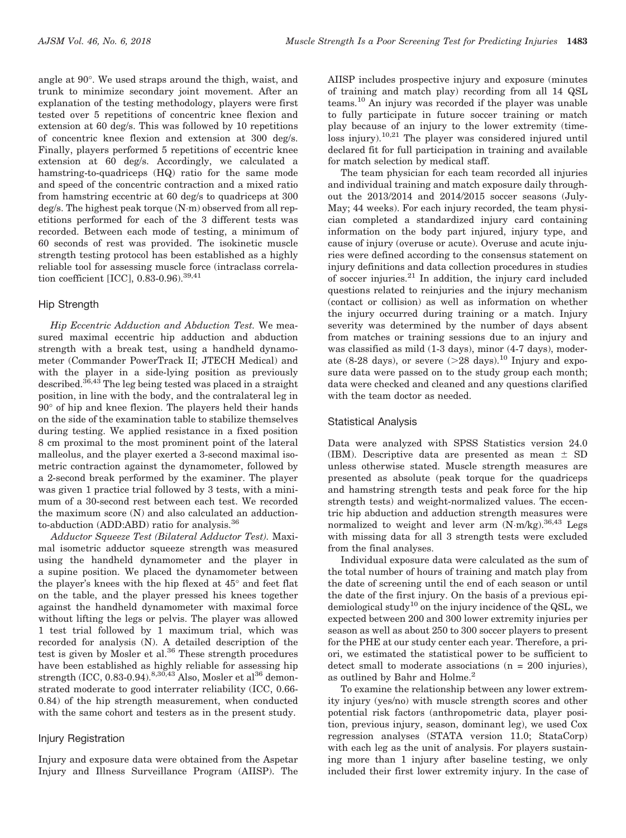angle at 90-. We used straps around the thigh, waist, and trunk to minimize secondary joint movement. After an explanation of the testing methodology, players were first tested over 5 repetitions of concentric knee flexion and extension at 60 deg/s. This was followed by 10 repetitions of concentric knee flexion and extension at 300 deg/s. Finally, players performed 5 repetitions of eccentric knee extension at 60 deg/s. Accordingly, we calculated a hamstring-to-quadriceps (HQ) ratio for the same mode and speed of the concentric contraction and a mixed ratio from hamstring eccentric at 60 deg/s to quadriceps at 300 deg/s. The highest peak torque (N-m) observed from all repetitions performed for each of the 3 different tests was recorded. Between each mode of testing, a minimum of 60 seconds of rest was provided. The isokinetic muscle strength testing protocol has been established as a highly reliable tool for assessing muscle force (intraclass correlation coefficient [ICC],  $0.\overline{83}$ -0.96).<sup>39,41</sup>

# Hip Strength

Hip Eccentric Adduction and Abduction Test. We measured maximal eccentric hip adduction and abduction strength with a break test, using a handheld dynamometer (Commander PowerTrack II; JTECH Medical) and with the player in a side-lying position as previously described.<sup>36,43</sup> The leg being tested was placed in a straight position, in line with the body, and the contralateral leg in  $90^{\circ}$  of hip and knee flexion. The players held their hands on the side of the examination table to stabilize themselves during testing. We applied resistance in a fixed position 8 cm proximal to the most prominent point of the lateral malleolus, and the player exerted a 3-second maximal isometric contraction against the dynamometer, followed by a 2-second break performed by the examiner. The player was given 1 practice trial followed by 3 tests, with a minimum of a 30-second rest between each test. We recorded the maximum score (N) and also calculated an adductionto-abduction (ADD:ABD) ratio for analysis.<sup>36</sup>

Adductor Squeeze Test (Bilateral Adductor Test). Maximal isometric adductor squeeze strength was measured using the handheld dynamometer and the player in a supine position. We placed the dynamometer between the player's knees with the hip flexed at  $45^{\circ}$  and feet flat on the table, and the player pressed his knees together against the handheld dynamometer with maximal force without lifting the legs or pelvis. The player was allowed 1 test trial followed by 1 maximum trial, which was recorded for analysis (N). A detailed description of the test is given by Mosler et al.<sup>36</sup> These strength procedures have been established as highly reliable for assessing hip strength (ICC, 0.83-0.94).  $8,30,43$  Also, Mosler et al<sup>36</sup> demonstrated moderate to good interrater reliability (ICC, 0.66- 0.84) of the hip strength measurement, when conducted with the same cohort and testers as in the present study.

# Injury Registration

Injury and exposure data were obtained from the Aspetar Injury and Illness Surveillance Program (AIISP). The AIISP includes prospective injury and exposure (minutes of training and match play) recording from all 14 QSL teams.10 An injury was recorded if the player was unable to fully participate in future soccer training or match play because of an injury to the lower extremity (timeloss injury).10,21 The player was considered injured until declared fit for full participation in training and available for match selection by medical staff.

The team physician for each team recorded all injuries and individual training and match exposure daily throughout the 2013/2014 and 2014/2015 soccer seasons (July-May; 44 weeks). For each injury recorded, the team physician completed a standardized injury card containing information on the body part injured, injury type, and cause of injury (overuse or acute). Overuse and acute injuries were defined according to the consensus statement on injury definitions and data collection procedures in studies of soccer injuries.<sup>21</sup> In addition, the injury card included questions related to reinjuries and the injury mechanism (contact or collision) as well as information on whether the injury occurred during training or a match. Injury severity was determined by the number of days absent from matches or training sessions due to an injury and was classified as mild (1-3 days), minor (4-7 days), moderate (8-28 days), or severe  $(>28$  days).<sup>10</sup> Injury and exposure data were passed on to the study group each month; data were checked and cleaned and any questions clarified with the team doctor as needed.

# Statistical Analysis

Data were analyzed with SPSS Statistics version 24.0 (IBM). Descriptive data are presented as mean  $\pm$  SD unless otherwise stated. Muscle strength measures are presented as absolute (peak torque for the quadriceps and hamstring strength tests and peak force for the hip strength tests) and weight-normalized values. The eccentric hip abduction and adduction strength measures were normalized to weight and lever arm (N·m/kg).<sup>36,43</sup> Legs with missing data for all 3 strength tests were excluded from the final analyses.

Individual exposure data were calculated as the sum of the total number of hours of training and match play from the date of screening until the end of each season or until the date of the first injury. On the basis of a previous epidemiological study<sup>10</sup> on the injury incidence of the QSL, we expected between 200 and 300 lower extremity injuries per season as well as about 250 to 300 soccer players to present for the PHE at our study center each year. Therefore, a priori, we estimated the statistical power to be sufficient to detect small to moderate associations ( $n = 200$  injuries), as outlined by Bahr and Holme.<sup>2</sup>

To examine the relationship between any lower extremity injury (yes/no) with muscle strength scores and other potential risk factors (anthropometric data, player position, previous injury, season, dominant leg), we used Cox regression analyses (STATA version 11.0; StataCorp) with each leg as the unit of analysis. For players sustaining more than 1 injury after baseline testing, we only included their first lower extremity injury. In the case of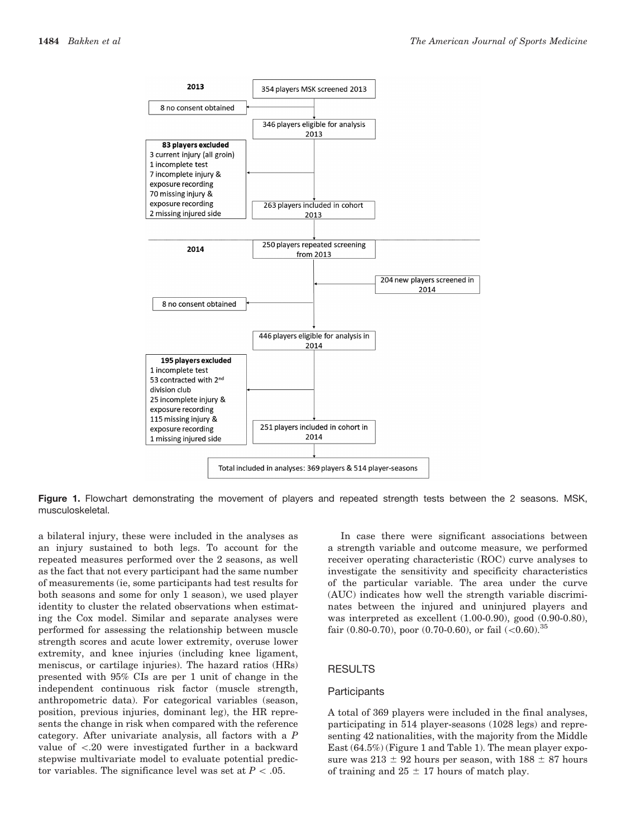

Figure 1. Flowchart demonstrating the movement of players and repeated strength tests between the 2 seasons. MSK, musculoskeletal.

a bilateral injury, these were included in the analyses as an injury sustained to both legs. To account for the repeated measures performed over the 2 seasons, as well as the fact that not every participant had the same number of measurements (ie, some participants had test results for both seasons and some for only 1 season), we used player identity to cluster the related observations when estimating the Cox model. Similar and separate analyses were performed for assessing the relationship between muscle strength scores and acute lower extremity, overuse lower extremity, and knee injuries (including knee ligament, meniscus, or cartilage injuries). The hazard ratios (HRs) presented with 95% CIs are per 1 unit of change in the independent continuous risk factor (muscle strength, anthropometric data). For categorical variables (season, position, previous injuries, dominant leg), the HR represents the change in risk when compared with the reference category. After univariate analysis, all factors with a P value of \.20 were investigated further in a backward stepwise multivariate model to evaluate potential predictor variables. The significance level was set at  $P < .05$ .

In case there were significant associations between a strength variable and outcome measure, we performed receiver operating characteristic (ROC) curve analyses to investigate the sensitivity and specificity characteristics of the particular variable. The area under the curve (AUC) indicates how well the strength variable discriminates between the injured and uninjured players and was interpreted as excellent (1.00-0.90), good (0.90-0.80), fair (0.80-0.70), poor (0.70-0.60), or fail  $(<0.60)$ .<sup>35</sup>

#### RESULTS

#### **Participants**

A total of 369 players were included in the final analyses, participating in 514 player-seasons (1028 legs) and representing 42 nationalities, with the majority from the Middle East (64.5%) (Figure 1 and Table 1). The mean player exposure was  $213 \pm 92$  hours per season, with  $188 \pm 87$  hours of training and  $25 \pm 17$  hours of match play.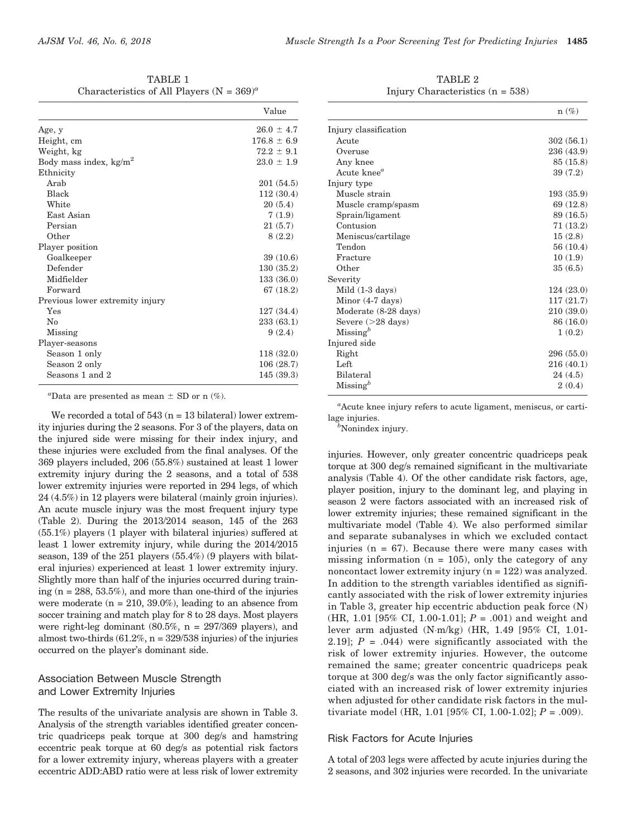| TABLE 1                                        |  |  |  |  |
|------------------------------------------------|--|--|--|--|
| Characteristics of All Players (N = $369)^a$ ) |  |  |  |  |

|                                 | Value           |
|---------------------------------|-----------------|
| Age, y                          | $26.0 \pm 4.7$  |
| Height, cm                      | $176.8 \pm 6.9$ |
| Weight, kg                      | $72.2 \pm 9.1$  |
| Body mass index, $kg/m2$        | $23.0 \pm 1.9$  |
| Ethnicity                       |                 |
| Arab                            | 201 (54.5)      |
| Black                           | 112(30.4)       |
| White                           | 20(5.4)         |
| East Asian                      | 7(1.9)          |
| Persian                         | 21(5.7)         |
| Other                           | 8(2.2)          |
| Player position                 |                 |
| Goalkeeper                      | 39(10.6)        |
| Defender                        | 130(35.2)       |
| Midfielder                      | 133(36.0)       |
| Forward                         | 67(18.2)        |
| Previous lower extremity injury |                 |
| Yes                             | 127(34.4)       |
| $\rm No$                        | 233(63.1)       |
| Missing                         | 9(2.4)          |
| Player-seasons                  |                 |
| Season 1 only                   | 118(32.0)       |
| Season 2 only                   | 106(28.7)       |
| Seasons 1 and 2                 | 145(39.3)       |

"Data are presented as mean  $\pm$  SD or n (%).

We recorded a total of  $543$  ( $n = 13$  bilateral) lower extremity injuries during the 2 seasons. For 3 of the players, data on the injured side were missing for their index injury, and these injuries were excluded from the final analyses. Of the 369 players included, 206 (55.8%) sustained at least 1 lower extremity injury during the 2 seasons, and a total of 538 lower extremity injuries were reported in 294 legs, of which 24 (4.5%) in 12 players were bilateral (mainly groin injuries). An acute muscle injury was the most frequent injury type (Table 2). During the 2013/2014 season, 145 of the 263 (55.1%) players (1 player with bilateral injuries) suffered at least 1 lower extremity injury, while during the 2014/2015 season, 139 of the 251 players (55.4%) (9 players with bilateral injuries) experienced at least 1 lower extremity injury. Slightly more than half of the injuries occurred during training  $(n = 288, 53.5\%)$ , and more than one-third of the injuries were moderate  $(n = 210, 39.0\%)$ , leading to an absence from soccer training and match play for 8 to 28 days. Most players were right-leg dominant (80.5%, n = 297/369 players), and almost two-thirds  $(61.2\%, n = 329/538)$  injuries) of the injuries occurred on the player's dominant side.

# Association Between Muscle Strength and Lower Extremity Injuries

The results of the univariate analysis are shown in Table 3. Analysis of the strength variables identified greater concentric quadriceps peak torque at 300 deg/s and hamstring eccentric peak torque at 60 deg/s as potential risk factors for a lower extremity injury, whereas players with a greater eccentric ADD:ABD ratio were at less risk of lower extremity

TABLE 2 Injury Characteristics (n = 538)

|                         | $n(\%)$    |
|-------------------------|------------|
| Injury classification   |            |
| Acute                   | 302(56.1)  |
| Overuse                 | 236 (43.9) |
| Any knee                | 85 (15.8)  |
| Acute knee <sup>a</sup> | 39 (7.2)   |
| Injury type             |            |
| Muscle strain           | 193(35.9)  |
| Muscle cramp/spasm      | 69(12.8)   |
| Sprain/ligament         | 89 (16.5)  |
| Contusion               | 71(13.2)   |
| Meniscus/cartilage      | 15(2.8)    |
| Tendon                  | 56(10.4)   |
| Fracture                | 10(1.9)    |
| Other                   | 35(6.5)    |
| Severity                |            |
| Mild (1-3 days)         | 124(23.0)  |
| Minor $(4-7$ days)      | 117(21.7)  |
| Moderate (8-28 days)    | 210(39.0)  |
| Severe $(>28$ days)     | 86(16.0)   |
| $M$ issing <sup>b</sup> | 1(0.2)     |
| Injured side            |            |
| Right                   | 296(55.0)  |
| Left                    | 216(40.1)  |
| Bilateral               | 24(4.5)    |
| $M$ issing <sup>b</sup> | 2(0.4)     |

a Acute knee injury refers to acute ligament, meniscus, or cartilage injuries.

<sup>b</sup>Nonindex injury.

injuries. However, only greater concentric quadriceps peak torque at 300 deg/s remained significant in the multivariate analysis (Table 4). Of the other candidate risk factors, age, player position, injury to the dominant leg, and playing in season 2 were factors associated with an increased risk of lower extremity injuries; these remained significant in the multivariate model (Table 4). We also performed similar and separate subanalyses in which we excluded contact injuries ( $n = 67$ ). Because there were many cases with missing information  $(n = 105)$ , only the category of any noncontact lower extremity injury (n = 122) was analyzed. In addition to the strength variables identified as significantly associated with the risk of lower extremity injuries in Table 3, greater hip eccentric abduction peak force (N) (HR, 1.01 [95% CI, 1.00-1.01];  $P = .001$ ) and weight and lever arm adjusted (N-m/kg) (HR, 1.49 [95% CI, 1.01- 2.19];  $P = .044$ ) were significantly associated with the risk of lower extremity injuries. However, the outcome remained the same; greater concentric quadriceps peak torque at 300 deg/s was the only factor significantly associated with an increased risk of lower extremity injuries when adjusted for other candidate risk factors in the multivariate model (HR, 1.01 [95% CI, 1.00-1.02];  $P = .009$ ).

#### Risk Factors for Acute Injuries

A total of 203 legs were affected by acute injuries during the 2 seasons, and 302 injuries were recorded. In the univariate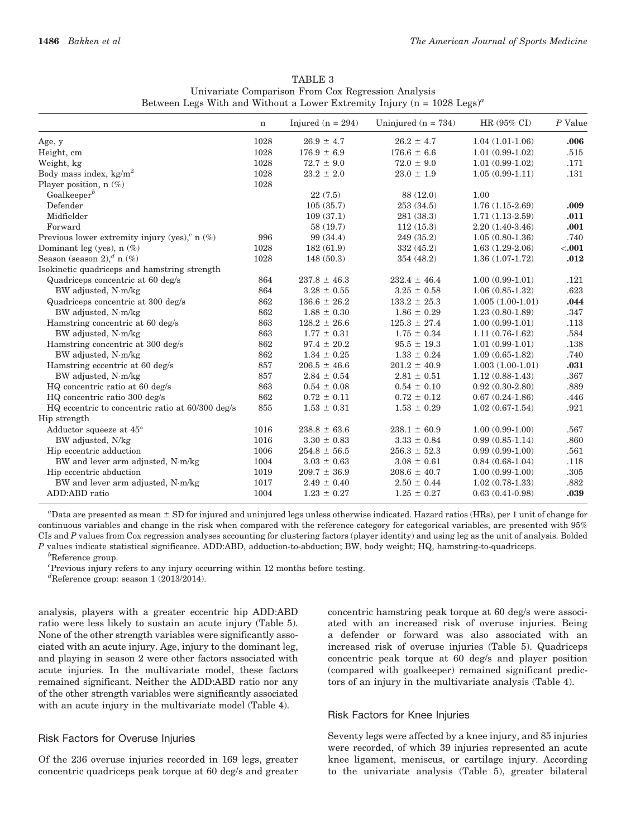|                                                     | $\mathbf n$ | Injured ( $n = 294$ ) | Uninjured $(n = 734)$ | HR (95% CI)        | P Value |
|-----------------------------------------------------|-------------|-----------------------|-----------------------|--------------------|---------|
| Age, y                                              | 1028        | $26.9 \pm 4.7$        | $26.2 \pm 4.7$        | $1.04(1.01-1.06)$  | .006    |
| Height, cm                                          | 1028        | $176.9 \pm 6.9$       | $176.6 \pm 6.6$       | $1.01(0.99-1.02)$  | .515    |
| Weight, kg                                          | 1028        | $72.7 \pm 9.0$        | $72.0 \pm 9.0$        | $1.01(0.99-1.02)$  | .171    |
| Body mass index, $kg/m^2$                           | 1028        | $23.2 \pm 2.0$        | $23.0 \pm 1.9$        | $1.05(0.99-1.11)$  | .131    |
| Player position, $n$ (%)                            | 1028        |                       |                       |                    |         |
| Goalkeeper <sup>b</sup>                             |             | 22(7.5)               | 88 (12.0)             | 1.00               |         |
| Defender                                            |             | 105(35.7)             | 253(34.5)             | $1.76(1.15-2.69)$  | .009    |
| Midfielder                                          |             | 109(37.1)             | 281(38.3)             | $1.71(1.13-2.59)$  | .011    |
| Forward                                             |             | 58 (19.7)             | 112(15.3)             | $2.20(1.40-3.46)$  | .001    |
| Previous lower extremity injury (yes), $\int$ n (%) | 996         | 99 (34.4)             | 249 (35.2)            | $1.05(0.80-1.36)$  | .740    |
| Dominant leg (yes), $n$ (%)                         | 1028        | 182(61.9)             | 332(45.2)             | $1.63(1.29-2.06)$  | < .001  |
| Season (season 2), $a_n$ (%)                        | 1028        | 148(50.3)             | 354 (48.2)            | $1.36(1.07-1.72)$  | .012    |
| Isokinetic quadriceps and hamstring strength        |             |                       |                       |                    |         |
| Quadriceps concentric at 60 deg/s                   | 864         | $237.8 \pm 46.3$      | $232.4 \pm 46.4$      | $1.00(0.99-1.01)$  | .121    |
| BW adjusted, N·m/kg                                 | 864         | $3.28 \pm 0.55$       | $3.25 \pm 0.58$       | $1.06(0.85-1.32)$  | .623    |
| Quadriceps concentric at 300 deg/s                  | 862         | $136.6 \pm 26.2$      | $133.2 \pm 25.3$      | $1.005(1.00-1.01)$ | .044    |
| BW adjusted, N·m/kg                                 | 862         | $1.88 \pm 0.30$       | $1.86 \pm 0.29$       | $1.23(0.80-1.89)$  | .347    |
| Hamstring concentric at 60 deg/s                    | 863         | $128.2 \pm 26.6$      | $125.3 \pm 27.4$      | $1.00(0.99-1.01)$  | .113    |
| BW adjusted, N·m/kg                                 | 863         | $1.77 \pm 0.31$       | $1.75 \pm 0.34$       | $1.11(0.76-1.62)$  | .584    |
| Hamstring concentric at 300 deg/s                   | 862         | $97.4 \pm 20.2$       | $95.5 \pm 19.3$       | $1.01(0.99-1.01)$  | .138    |
| BW adjusted, N·m/kg                                 | 862         | $1.34 \pm 0.25$       | $1.33 \pm 0.24$       | $1.09(0.65-1.82)$  | .740    |
| Hamstring eccentric at 60 deg/s                     | 857         | $206.5 \pm 46.6$      | $201.2 \pm 40.9$      | $1.003(1.00-1.01)$ | .031    |
| BW adjusted, N·m/kg                                 | 857         | $2.84 \pm 0.54$       | $2.81 \pm 0.51$       | $1.12(0.88-1.43)$  | .367    |
| HQ concentric ratio at 60 deg/s                     | 863         | $0.54 \pm 0.08$       | $0.54 \pm 0.10$       | $0.92(0.30-2.80)$  | .889    |
| HQ concentric ratio 300 deg/s                       | 862         | $0.72 \pm 0.11$       | $0.72 \pm 0.12$       | $0.67(0.24-1.86)$  | .446    |
| HQ eccentric to concentric ratio at 60/300 deg/s    | 855         | $1.53 \pm 0.31$       | $1.53 \pm 0.29$       | $1.02(0.67-1.54)$  | .921    |
| Hip strength                                        |             |                       |                       |                    |         |
| Adductor squeeze at $45^{\circ}$                    | 1016        | $238.8 \pm 63.6$      | $238.1 \pm 60.9$      | $1.00(0.99-1.00)$  | .567    |
| BW adjusted, N/kg                                   | 1016        | $3.30 \pm 0.83$       | $3.33 \pm 0.84$       | $0.99(0.85-1.14)$  | .860    |
| Hip eccentric adduction                             | 1006        | $254.8 \pm 56.5$      | $256.3 \pm 52.3$      | $0.99(0.99-1.00)$  | .561    |
| BW and lever arm adjusted, N·m/kg                   | 1004        | $3.03 \pm 0.63$       | $3.08 \pm 0.61$       | $0.84(0.68-1.04)$  | .118    |
| Hip eccentric abduction                             | 1019        | $209.7 \pm 36.9$      | $208.6 \pm 40.7$      | $1.00(0.99-1.00)$  | .305    |
| BW and lever arm adjusted, N·m/kg                   | 1017        | $2.49 \pm 0.40$       | $2.50 \pm 0.44$       | $1.02(0.78-1.33)$  | .882    |
| ADD:ABD ratio                                       | 1004        | $1.23 \pm 0.27$       | $1.25 \pm 0.27$       | $0.63(0.41-0.98)$  | .039    |

TABLE 3 Univariate Comparison From Cox Regression Analysis Between Legs With and Without a Lower Extremity Injury ( $n = 1028$  Legs)<sup>a</sup>

"Data are presented as mean  $\pm$  SD for injured and uninjured legs unless otherwise indicated. Hazard ratios (HRs), per 1 unit of change for continuous variables and change in the risk when compared with the reference category for categorical variables, are presented with 95% CIs and P values from Cox regression analyses accounting for clustering factors (player identity) and using leg as the unit of analysis. Bolded P values indicate statistical significance. ADD:ABD, adduction-to-abduction; BW, body weight; HQ, hamstring-to-quadriceps.

 ${}^{b}$ Reference group.

c Previous injury refers to any injury occurring within 12 months before testing.

 ${}^{d}$ Reference group: season 1 (2013/2014).

analysis, players with a greater eccentric hip ADD:ABD ratio were less likely to sustain an acute injury (Table 5). None of the other strength variables were significantly associated with an acute injury. Age, injury to the dominant leg, and playing in season 2 were other factors associated with acute injuries. In the multivariate model, these factors remained significant. Neither the ADD:ABD ratio nor any of the other strength variables were significantly associated with an acute injury in the multivariate model (Table 4).

# Risk Factors for Overuse Injuries

Of the 236 overuse injuries recorded in 169 legs, greater concentric quadriceps peak torque at 60 deg/s and greater concentric hamstring peak torque at 60 deg/s were associated with an increased risk of overuse injuries. Being a defender or forward was also associated with an increased risk of overuse injuries (Table 5). Quadriceps concentric peak torque at 60 deg/s and player position (compared with goalkeeper) remained significant predictors of an injury in the multivariate analysis (Table 4).

#### Risk Factors for Knee Injuries

Seventy legs were affected by a knee injury, and 85 injuries were recorded, of which 39 injuries represented an acute knee ligament, meniscus, or cartilage injury. According to the univariate analysis (Table 5), greater bilateral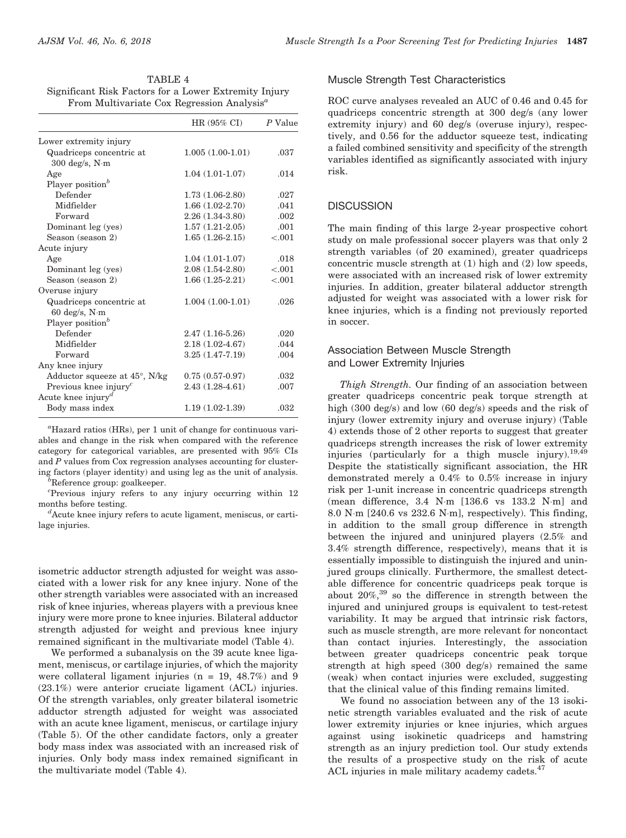| TABLE 4                                                |
|--------------------------------------------------------|
| Significant Risk Factors for a Lower Extremity Injury  |
| From Multivariate Cox Regression Analysis <sup>a</sup> |

|                                               | HR $(95\% \text{ CI})$ | P Value |  |
|-----------------------------------------------|------------------------|---------|--|
| Lower extremity injury                        |                        |         |  |
| Quadriceps concentric at                      | $1.005(1.00-1.01)$     | .037    |  |
| $300 \text{ deg/s}, \text{ N} \cdot \text{m}$ |                        |         |  |
| Age                                           | $1.04(1.01-1.07)$      | .014    |  |
| Player position <sup>b</sup>                  |                        |         |  |
| Defender                                      | $1.73(1.06-2.80)$      | .027    |  |
| Midfielder                                    | $1.66(1.02-2.70)$      | .041    |  |
| Forward                                       | $2.26(1.34-3.80)$      | .002    |  |
| Dominant leg (yes)                            | $1.57(1.21-2.05)$      | .001    |  |
| Season (season 2)                             | $1.65(1.26-2.15)$      | < .001  |  |
| Acute injury                                  |                        |         |  |
| Age                                           | $1.04(1.01-1.07)$      | .018    |  |
| Dominant leg (yes)                            | $2.08(1.54-2.80)$      | < 0.001 |  |
| Season (season 2)                             | $1.66(1.25-2.21)$      | < .001  |  |
| Overuse injury                                |                        |         |  |
| Quadriceps concentric at                      | $1.004(1.00-1.01)$     | .026    |  |
| $60 \text{ deg/s}, \text{ N} \cdot \text{m}$  |                        |         |  |
| Player position <sup>b</sup>                  |                        |         |  |
| Defender                                      | $2.47(1.16-5.26)$      | .020    |  |
| Midfielder                                    | $2.18(1.02 - 4.67)$    | .044    |  |
| Forward                                       | $3.25(1.47 - 7.19)$    | .004    |  |
| Any knee injury                               |                        |         |  |
| Adductor squeeze at $45^{\circ},$ N/kg        | $0.75(0.57-0.97)$      | .032    |  |
| Previous knee injury <sup>c</sup>             | $2.43(1.28-4.61)$      | .007    |  |
| Acute knee injury <sup>d</sup>                |                        |         |  |
| Body mass index                               | $1.19(1.02-1.39)$      | .032    |  |

a Hazard ratios (HRs), per 1 unit of change for continuous variables and change in the risk when compared with the reference category for categorical variables, are presented with 95% CIs and P values from Cox regression analyses accounting for clustering factors (player identity) and using leg as the unit of analysis. <sup>b</sup>

 ${}^b$ Reference group: goalkeeper.

c Previous injury refers to any injury occurring within 12 months before testing.

 ${}^d$ Acute knee injury refers to acute ligament, meniscus, or cartilage injuries.

isometric adductor strength adjusted for weight was associated with a lower risk for any knee injury. None of the other strength variables were associated with an increased risk of knee injuries, whereas players with a previous knee injury were more prone to knee injuries. Bilateral adductor strength adjusted for weight and previous knee injury remained significant in the multivariate model (Table 4).

We performed a subanalysis on the 39 acute knee ligament, meniscus, or cartilage injuries, of which the majority were collateral ligament injuries  $(n = 19, 48.7%)$  and 9 (23.1%) were anterior cruciate ligament (ACL) injuries. Of the strength variables, only greater bilateral isometric adductor strength adjusted for weight was associated with an acute knee ligament, meniscus, or cartilage injury (Table 5). Of the other candidate factors, only a greater body mass index was associated with an increased risk of injuries. Only body mass index remained significant in the multivariate model (Table 4).

# Muscle Strength Test Characteristics

ROC curve analyses revealed an AUC of 0.46 and 0.45 for quadriceps concentric strength at 300 deg/s (any lower extremity injury) and 60 deg/s (overuse injury), respectively, and 0.56 for the adductor squeeze test, indicating a failed combined sensitivity and specificity of the strength variables identified as significantly associated with injury risk.

# **DISCUSSION**

The main finding of this large 2-year prospective cohort study on male professional soccer players was that only 2 strength variables (of 20 examined), greater quadriceps concentric muscle strength at (1) high and (2) low speeds, were associated with an increased risk of lower extremity injuries. In addition, greater bilateral adductor strength adjusted for weight was associated with a lower risk for knee injuries, which is a finding not previously reported in soccer.

# Association Between Muscle Strength and Lower Extremity Injuries

Thigh Strength. Our finding of an association between greater quadriceps concentric peak torque strength at high (300 deg/s) and low (60 deg/s) speeds and the risk of injury (lower extremity injury and overuse injury) (Table 4) extends those of 2 other reports to suggest that greater quadriceps strength increases the risk of lower extremity injuries (particularly for a thigh muscle injury).  $19,49$ Despite the statistically significant association, the HR demonstrated merely a 0.4% to 0.5% increase in injury risk per 1-unit increase in concentric quadriceps strength (mean difference, 3.4 N-m [136.6 vs 133.2 N-m] and 8.0 N-m [240.6 vs 232.6 N-m], respectively). This finding, in addition to the small group difference in strength between the injured and uninjured players (2.5% and 3.4% strength difference, respectively), means that it is essentially impossible to distinguish the injured and uninjured groups clinically. Furthermore, the smallest detectable difference for concentric quadriceps peak torque is about  $20\%$ ,<sup>39</sup> so the difference in strength between the injured and uninjured groups is equivalent to test-retest variability. It may be argued that intrinsic risk factors, such as muscle strength, are more relevant for noncontact than contact injuries. Interestingly, the association between greater quadriceps concentric peak torque strength at high speed (300 deg/s) remained the same (weak) when contact injuries were excluded, suggesting that the clinical value of this finding remains limited.

We found no association between any of the 13 isokinetic strength variables evaluated and the risk of acute lower extremity injuries or knee injuries, which argues against using isokinetic quadriceps and hamstring strength as an injury prediction tool. Our study extends the results of a prospective study on the risk of acute ACL injuries in male military academy cadets.<sup>47</sup>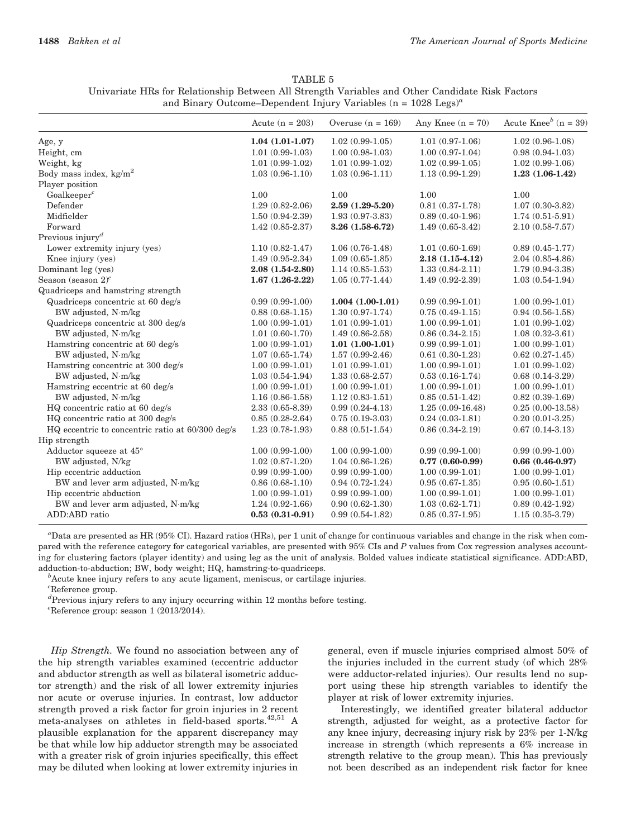TABLE 5 Univariate HRs for Relationship Between All Strength Variables and Other Candidate Risk Factors and Binary Outcome–Dependent Injury Variables (n =  $1028$  Legs)<sup>a</sup>

|                                                  | Acute $(n = 203)$   | Overuse $(n = 169)$ | Any Knee $(n = 70)$ | Acute Knee <sup>b</sup> (n = 39) |
|--------------------------------------------------|---------------------|---------------------|---------------------|----------------------------------|
| Age, y                                           | $1.04(1.01-1.07)$   | $1.02(0.99-1.05)$   | $1.01(0.97-1.06)$   | $1.02(0.96-1.08)$                |
| Height, cm                                       | $1.01(0.99-1.03)$   | $1.00(0.98-1.03)$   | $1.00(0.97-1.04)$   | $0.98(0.94-1.03)$                |
| Weight, kg                                       | $1.01(0.99-1.02)$   | $1.01(0.99-1.02)$   | $1.02(0.99-1.05)$   | $1.02(0.99-1.06)$                |
| Body mass index, $kg/m^2$                        | $1.03(0.96-1.10)$   | $1.03(0.96-1.11)$   | $1.13(0.99-1.29)$   | $1.23(1.06-1.42)$                |
| Player position                                  |                     |                     |                     |                                  |
| Goalkeeper $c$                                   | 1.00                | 1.00                | 1.00                | 1.00                             |
| Defender                                         | $1.29(0.82 - 2.06)$ | $2.59(1.29-5.20)$   | $0.81(0.37-1.78)$   | $1.07(0.30-3.82)$                |
| Midfielder                                       | $1.50(0.94-2.39)$   | $1.93(0.97-3.83)$   | $0.89(0.40-1.96)$   | $1.74(0.51-5.91)$                |
| Forward                                          | $1.42(0.85-2.37)$   | $3.26(1.58-6.72)$   | $1.49(0.65-3.42)$   | $2.10(0.58 - 7.57)$              |
| Previous injury <sup><math>d</math></sup>        |                     |                     |                     |                                  |
| Lower extremity injury (yes)                     | $1.10(0.82 - 1.47)$ | $1.06(0.76-1.48)$   | $1.01(0.60-1.69)$   | $0.89(0.45-1.77)$                |
| Knee injury (yes)                                | $1.49(0.95-2.34)$   | $1.09(0.65-1.85)$   | $2.18(1.15-4.12)$   | $2.04(0.85-4.86)$                |
| Dominant leg (yes)                               | $2.08(1.54-2.80)$   | $1.14(0.85-1.53)$   | $1.33(0.84 - 2.11)$ | $1.79(0.94 - 3.38)$              |
| Season (season $2)^e$                            | $1.67(1.26-2.22)$   | $1.05(0.77-1.44)$   | $1.49(0.92-2.39)$   | $1.03(0.54-1.94)$                |
| Quadriceps and hamstring strength                |                     |                     |                     |                                  |
| Quadriceps concentric at 60 deg/s                | $0.99(0.99-1.00)$   | $1.004(1.00-1.01)$  | $0.99(0.99-1.01)$   | $1.00(0.99-1.01)$                |
| BW adjusted, N·m/kg                              | $0.88(0.68-1.15)$   | $1.30(0.97-1.74)$   | $0.75(0.49-1.15)$   | $0.94(0.56-1.58)$                |
| Quadriceps concentric at 300 deg/s               | $1.00(0.99-1.01)$   | $1.01(0.99-1.01)$   | $1.00(0.99-1.01)$   | $1.01(0.99-1.02)$                |
| BW adjusted, N·m/kg                              | $1.01(0.60-1.70)$   | $1.49(0.86-2.58)$   | $0.86(0.34-2.15)$   | $1.08(0.32-3.61)$                |
| Hamstring concentric at 60 deg/s                 | $1.00(0.99-1.01)$   | $1.01(1.00-1.01)$   | $0.99(0.99-1.01)$   | $1.00(0.99-1.01)$                |
| BW adjusted, N·m/kg                              | $1.07(0.65-1.74)$   | $1.57(0.99-2.46)$   | $0.61(0.30-1.23)$   | $0.62(0.27-1.45)$                |
| Hamstring concentric at 300 deg/s                | $1.00(0.99-1.01)$   | $1.01(0.99-1.01)$   | $1.00(0.99-1.01)$   | $1.01(0.99-1.02)$                |
| BW adjusted, N·m/kg                              | $1.03(0.54-1.94)$   | $1.33(0.68-2.57)$   | $0.53(0.16-1.74)$   | $0.68(0.14-3.29)$                |
| Hamstring eccentric at 60 deg/s                  | $1.00(0.99-1.01)$   | $1.00(0.99-1.01)$   | $1.00(0.99-1.01)$   | $1.00(0.99-1.01)$                |
| BW adjusted, N·m/kg                              | $1.16(0.86-1.58)$   | $1.12(0.83-1.51)$   | $0.85(0.51-1.42)$   | $0.82(0.39-1.69)$                |
| HQ concentric ratio at 60 deg/s                  | $2.33(0.65 - 8.39)$ | $0.99(0.24-4.13)$   | $1.25(0.09-16.48)$  | $0.25(0.00-13.58)$               |
| HQ concentric ratio at 300 deg/s                 | $0.85(0.28-2.64)$   | $0.75(0.19-3.03)$   | $0.24(0.03-1.81)$   | $0.20(0.01-3.25)$                |
| HQ eccentric to concentric ratio at 60/300 deg/s | $1.23(0.78-1.93)$   | $0.88(0.51-1.54)$   | $0.86(0.34-2.19)$   | $0.67(0.14-3.13)$                |
| Hip strength                                     |                     |                     |                     |                                  |
| Adductor squeeze at $45^\circ$                   | $1.00(0.99-1.00)$   | $1.00(0.99-1.00)$   | $0.99(0.99-1.00)$   | $0.99(0.99-1.00)$                |
| BW adjusted, N/kg                                | $1.02(0.87-1.20)$   | $1.04(0.86-1.26)$   | $0.77(0.60-0.99)$   | $0.66(0.46-0.97)$                |
| Hip eccentric adduction                          | $0.99(0.99-1.00)$   | $0.99(0.99-1.00)$   | $1.00(0.99-1.01)$   | $1.00(0.99-1.01)$                |
| BW and lever arm adjusted, N·m/kg                | $0.86(0.68-1.10)$   | $0.94(0.72-1.24)$   | $0.95(0.67-1.35)$   | $0.95(0.60-1.51)$                |
| Hip eccentric abduction                          | $1.00(0.99-1.01)$   | $0.99(0.99-1.00)$   | $1.00(0.99-1.01)$   | $1.00(0.99-1.01)$                |
| BW and lever arm adjusted, N·m/kg                | $1.24(0.92 - 1.66)$ | $0.90(0.62-1.30)$   | $1.03(0.62 - 1.71)$ | $0.89(0.42-1.92)$                |
| ADD:ABD ratio                                    | $0.53(0.31-0.91)$   | $0.99(0.54-1.82)$   | $0.85(0.37-1.95)$   | $1.15(0.35-3.79)$                |

a Data are presented as HR (95% CI). Hazard ratios (HRs), per 1 unit of change for continuous variables and change in the risk when compared with the reference category for categorical variables, are presented with 95% CIs and P values from Cox regression analyses accounting for clustering factors (player identity) and using leg as the unit of analysis. Bolded values indicate statistical significance. ADD:ABD, adduction-to-abduction; BW, body weight; HQ, hamstring-to-quadriceps.

 $^b$ Acute knee injury refers to any acute ligament, meniscus, or cartilage injuries.

 $c^c$ Reference group.

d Previous injury refers to any injury occurring within 12 months before testing.

 $e^e$ Reference group: season 1 (2013/2014).

Hip Strength. We found no association between any of the hip strength variables examined (eccentric adductor and abductor strength as well as bilateral isometric adductor strength) and the risk of all lower extremity injuries nor acute or overuse injuries. In contrast, low adductor strength proved a risk factor for groin injuries in 2 recent meta-analyses on athletes in field-based sports.<sup>42,51</sup> A plausible explanation for the apparent discrepancy may be that while low hip adductor strength may be associated with a greater risk of groin injuries specifically, this effect may be diluted when looking at lower extremity injuries in

general, even if muscle injuries comprised almost 50% of the injuries included in the current study (of which 28% were adductor-related injuries). Our results lend no support using these hip strength variables to identify the player at risk of lower extremity injuries.

Interestingly, we identified greater bilateral adductor strength, adjusted for weight, as a protective factor for any knee injury, decreasing injury risk by 23% per 1-N/kg increase in strength (which represents a 6% increase in strength relative to the group mean). This has previously not been described as an independent risk factor for knee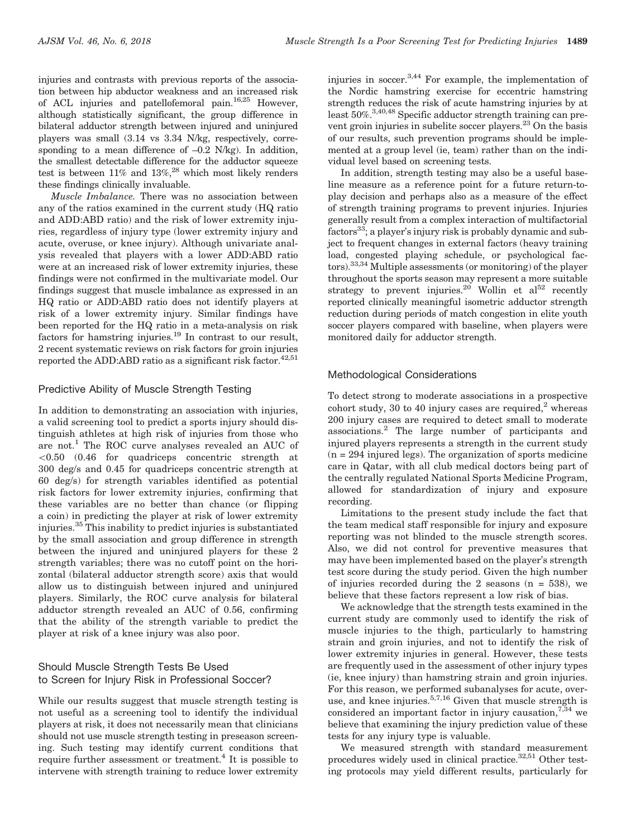injuries and contrasts with previous reports of the association between hip abductor weakness and an increased risk of ACL injuries and patellofemoral pain.16,25 However, although statistically significant, the group difference in bilateral adductor strength between injured and uninjured players was small (3.14 vs 3.34 N/kg, respectively, corresponding to a mean difference of  $-0.2$  N/kg). In addition, the smallest detectable difference for the adductor squeeze test is between  $11\%$  and  $13\%$ ,<sup>28</sup> which most likely renders these findings clinically invaluable.

Muscle Imbalance. There was no association between any of the ratios examined in the current study (HQ ratio and ADD:ABD ratio) and the risk of lower extremity injuries, regardless of injury type (lower extremity injury and acute, overuse, or knee injury). Although univariate analysis revealed that players with a lower ADD:ABD ratio were at an increased risk of lower extremity injuries, these findings were not confirmed in the multivariate model. Our findings suggest that muscle imbalance as expressed in an HQ ratio or ADD:ABD ratio does not identify players at risk of a lower extremity injury. Similar findings have been reported for the HQ ratio in a meta-analysis on risk factors for hamstring injuries.<sup>19</sup> In contrast to our result, 2 recent systematic reviews on risk factors for groin injuries reported the ADD:ABD ratio as a significant risk factor. $42,51$ 

# Predictive Ability of Muscle Strength Testing

In addition to demonstrating an association with injuries, a valid screening tool to predict a sports injury should distinguish athletes at high risk of injuries from those who are not.<sup>1</sup> The ROC curve analyses revealed an AUC of  $\leq 0.50$  (0.46 for quadriceps concentric strength at 300 deg/s and 0.45 for quadriceps concentric strength at 60 deg/s) for strength variables identified as potential risk factors for lower extremity injuries, confirming that these variables are no better than chance (or flipping a coin) in predicting the player at risk of lower extremity injuries.<sup>35</sup> This inability to predict injuries is substantiated by the small association and group difference in strength between the injured and uninjured players for these 2 strength variables; there was no cutoff point on the horizontal (bilateral adductor strength score) axis that would allow us to distinguish between injured and uninjured players. Similarly, the ROC curve analysis for bilateral adductor strength revealed an AUC of 0.56, confirming that the ability of the strength variable to predict the player at risk of a knee injury was also poor.

# Should Muscle Strength Tests Be Used to Screen for Injury Risk in Professional Soccer?

While our results suggest that muscle strength testing is not useful as a screening tool to identify the individual players at risk, it does not necessarily mean that clinicians should not use muscle strength testing in preseason screening. Such testing may identify current conditions that require further assessment or treatment.<sup>4</sup> It is possible to intervene with strength training to reduce lower extremity

injuries in soccer.3,44 For example, the implementation of the Nordic hamstring exercise for eccentric hamstring strength reduces the risk of acute hamstring injuries by at least 50%.<sup>3,40,48</sup> Specific adductor strength training can prevent groin injuries in subelite soccer players.23 On the basis of our results, such prevention programs should be implemented at a group level (ie, team) rather than on the individual level based on screening tests.

In addition, strength testing may also be a useful baseline measure as a reference point for a future return-toplay decision and perhaps also as a measure of the effect of strength training programs to prevent injuries. Injuries generally result from a complex interaction of multifactorial factors<sup>33</sup>; a player's injury risk is probably dynamic and subject to frequent changes in external factors (heavy training load, congested playing schedule, or psychological factors).33,34 Multiple assessments (or monitoring) of the player throughout the sports season may represent a more suitable strategy to prevent injuries.<sup>20</sup> Wollin et  $al^{52}$  recently reported clinically meaningful isometric adductor strength reduction during periods of match congestion in elite youth soccer players compared with baseline, when players were monitored daily for adductor strength.

# Methodological Considerations

To detect strong to moderate associations in a prospective cohort study,  $30$  to 40 injury cases are required.<sup>2</sup> whereas 200 injury cases are required to detect small to moderate associations.<sup>2</sup> The large number of participants and injured players represents a strength in the current study  $(n = 294$  injured legs). The organization of sports medicine care in Qatar, with all club medical doctors being part of the centrally regulated National Sports Medicine Program, allowed for standardization of injury and exposure recording.

Limitations to the present study include the fact that the team medical staff responsible for injury and exposure reporting was not blinded to the muscle strength scores. Also, we did not control for preventive measures that may have been implemented based on the player's strength test score during the study period. Given the high number of injuries recorded during the 2 seasons  $(n = 538)$ , we believe that these factors represent a low risk of bias.

We acknowledge that the strength tests examined in the current study are commonly used to identify the risk of muscle injuries to the thigh, particularly to hamstring strain and groin injuries, and not to identify the risk of lower extremity injuries in general. However, these tests are frequently used in the assessment of other injury types (ie, knee injury) than hamstring strain and groin injuries. For this reason, we performed subanalyses for acute, overuse, and knee injuries.5,7,16 Given that muscle strength is considered an important factor in injury causation,  $7,34$  we believe that examining the injury prediction value of these tests for any injury type is valuable.

We measured strength with standard measurement procedures widely used in clinical practice. $32,51$  Other testing protocols may yield different results, particularly for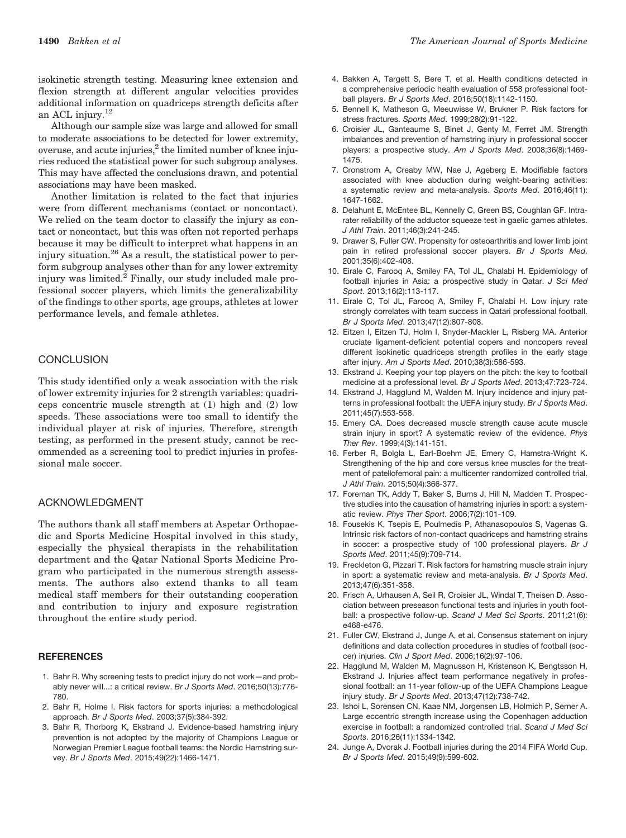isokinetic strength testing. Measuring knee extension and flexion strength at different angular velocities provides additional information on quadriceps strength deficits after an ACL injury.12

Although our sample size was large and allowed for small to moderate associations to be detected for lower extremity, overuse, and acute injuries, $^2$  the limited number of knee injuries reduced the statistical power for such subgroup analyses. This may have affected the conclusions drawn, and potential associations may have been masked.

Another limitation is related to the fact that injuries were from different mechanisms (contact or noncontact). We relied on the team doctor to classify the injury as contact or noncontact, but this was often not reported perhaps because it may be difficult to interpret what happens in an injury situation.<sup>26</sup> As a result, the statistical power to perform subgroup analyses other than for any lower extremity injury was limited. $^2$  Finally, our study included male professional soccer players, which limits the generalizability of the findings to other sports, age groups, athletes at lower performance levels, and female athletes.

#### **CONCLUSION**

This study identified only a weak association with the risk of lower extremity injuries for 2 strength variables: quadriceps concentric muscle strength at (1) high and (2) low speeds. These associations were too small to identify the individual player at risk of injuries. Therefore, strength testing, as performed in the present study, cannot be recommended as a screening tool to predict injuries in professional male soccer.

#### ACKNOWLEDGMENT

The authors thank all staff members at Aspetar Orthopaedic and Sports Medicine Hospital involved in this study, especially the physical therapists in the rehabilitation department and the Qatar National Sports Medicine Program who participated in the numerous strength assessments. The authors also extend thanks to all team medical staff members for their outstanding cooperation and contribution to injury and exposure registration throughout the entire study period.

#### **REFERENCES**

- 1. Bahr R. Why screening tests to predict injury do not work—and probably never will...: a critical review. *Br J Sports Med*. 2016;50(13):776- 780.
- 2. Bahr R, Holme I. Risk factors for sports injuries: a methodological approach. *Br J Sports Med*. 2003;37(5):384-392.
- 3. Bahr R, Thorborg K, Ekstrand J. Evidence-based hamstring injury prevention is not adopted by the majority of Champions League or Norwegian Premier League football teams: the Nordic Hamstring survey. *Br J Sports Med*. 2015;49(22):1466-1471.
- 4. Bakken A, Targett S, Bere T, et al. Health conditions detected in a comprehensive periodic health evaluation of 558 professional football players. *Br J Sports Med*. 2016;50(18):1142-1150.
- 5. Bennell K, Matheson G, Meeuwisse W, Brukner P. Risk factors for stress fractures. *Sports Med*. 1999;28(2):91-122.
- 6. Croisier JL, Ganteaume S, Binet J, Genty M, Ferret JM. Strength imbalances and prevention of hamstring injury in professional soccer players: a prospective study. *Am J Sports Med*. 2008;36(8):1469- 1475.
- 7. Cronstrom A, Creaby MW, Nae J, Ageberg E. Modifiable factors associated with knee abduction during weight-bearing activities: a systematic review and meta-analysis. *Sports Med*. 2016;46(11): 1647-1662.
- 8. Delahunt E, McEntee BL, Kennelly C, Green BS, Coughlan GF. Intrarater reliability of the adductor squeeze test in gaelic games athletes. *J Athl Train*. 2011;46(3):241-245.
- 9. Drawer S, Fuller CW. Propensity for osteoarthritis and lower limb joint pain in retired professional soccer players. *Br J Sports Med*. 2001;35(6):402-408.
- 10. Eirale C, Farooq A, Smiley FA, Tol JL, Chalabi H. Epidemiology of football injuries in Asia: a prospective study in Qatar. *J Sci Med Sport*. 2013;16(2):113-117.
- 11. Eirale C, Tol JL, Farooq A, Smiley F, Chalabi H. Low injury rate strongly correlates with team success in Qatari professional football. *Br J Sports Med*. 2013;47(12):807-808.
- 12. Eitzen I, Eitzen TJ, Holm I, Snyder-Mackler L, Risberg MA. Anterior cruciate ligament-deficient potential copers and noncopers reveal different isokinetic quadriceps strength profiles in the early stage after injury. *Am J Sports Med*. 2010;38(3):586-593.
- 13. Ekstrand J. Keeping your top players on the pitch: the key to football medicine at a professional level. *Br J Sports Med*. 2013;47:723-724.
- 14. Ekstrand J, Hagglund M, Walden M. Injury incidence and injury patterns in professional football: the UEFA injury study. *Br J Sports Med*. 2011;45(7):553-558.
- 15. Emery CA. Does decreased muscle strength cause acute muscle strain injury in sport? A systematic review of the evidence. *Phys Ther Rev*. 1999;4(3):141-151.
- 16. Ferber R, Bolgla L, Earl-Boehm JE, Emery C, Hamstra-Wright K. Strengthening of the hip and core versus knee muscles for the treatment of patellofemoral pain: a multicenter randomized controlled trial. *J Athl Train*. 2015;50(4):366-377.
- 17. Foreman TK, Addy T, Baker S, Burns J, Hill N, Madden T. Prospective studies into the causation of hamstring injuries in sport: a systematic review. *Phys Ther Sport*. 2006;7(2):101-109.
- 18. Fousekis K, Tsepis E, Poulmedis P, Athanasopoulos S, Vagenas G. Intrinsic risk factors of non-contact quadriceps and hamstring strains in soccer: a prospective study of 100 professional players. *Br J Sports Med*. 2011;45(9):709-714.
- 19. Freckleton G, Pizzari T. Risk factors for hamstring muscle strain injury in sport: a systematic review and meta-analysis. *Br J Sports Med*. 2013;47(6):351-358.
- 20. Frisch A, Urhausen A, Seil R, Croisier JL, Windal T, Theisen D. Association between preseason functional tests and injuries in youth football: a prospective follow-up. *Scand J Med Sci Sports*. 2011;21(6): e468-e476.
- 21. Fuller CW, Ekstrand J, Junge A, et al. Consensus statement on injury definitions and data collection procedures in studies of football (soccer) injuries. *Clin J Sport Med*. 2006;16(2):97-106.
- 22. Hagglund M, Walden M, Magnusson H, Kristenson K, Bengtsson H, Ekstrand J. Injuries affect team performance negatively in professional football: an 11-year follow-up of the UEFA Champions League injury study. *Br J Sports Med*. 2013;47(12):738-742.
- 23. Ishoi L, Sorensen CN, Kaae NM, Jorgensen LB, Holmich P, Serner A. Large eccentric strength increase using the Copenhagen adduction exercise in football: a randomized controlled trial. *Scand J Med Sci Sports*. 2016;26(11):1334-1342.
- 24. Junge A, Dvorak J. Football injuries during the 2014 FIFA World Cup. *Br J Sports Med*. 2015;49(9):599-602.